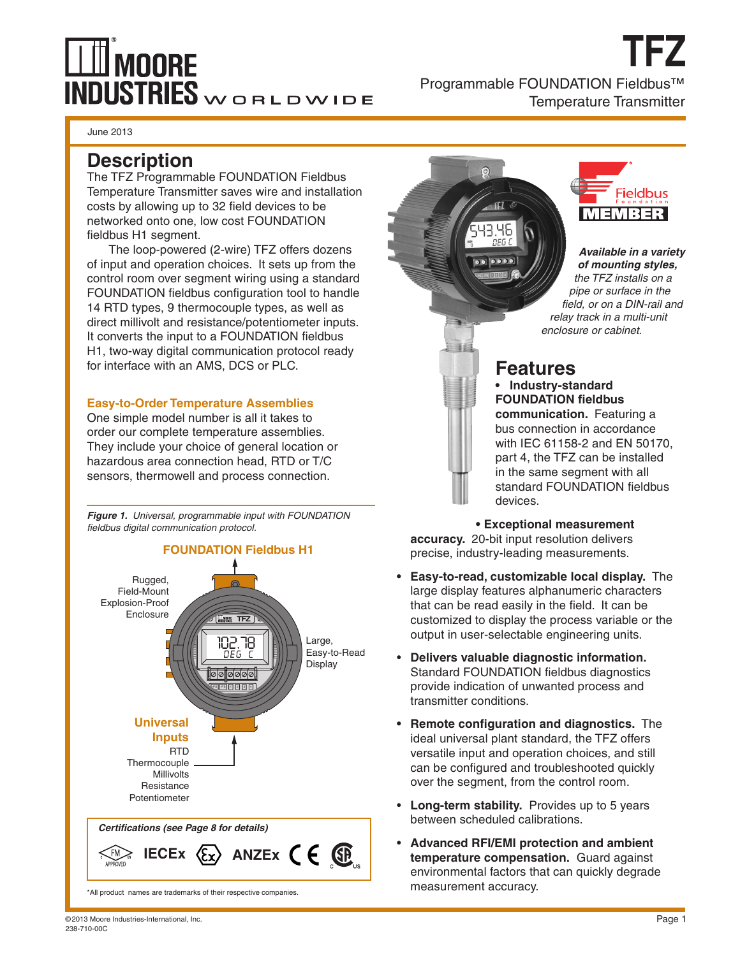# **MOORE INDUSTRIES**WORLDWIDE

**TFZ** Programmable FOUNDATION Fieldbus™ Temperature Transmitter

June 2013

# **Description**

The TFZ Programmable FOUNDATION Fieldbus Temperature Transmitter saves wire and installation costs by allowing up to 32 field devices to be networked onto one, low cost FOUNDATION fieldbus H1 segment.

The loop-powered (2-wire) TFZ offers dozens of input and operation choices. It sets up from the control room over segment wiring using a standard FOUNDATION fieldbus configuration tool to handle 14 RTD types, 9 thermocouple types, as well as direct millivolt and resistance/potentiometer inputs. It converts the input to a FOUNDATION fieldbus H1, two-way digital communication protocol ready for interface with an AMS, DCS or PLC.

#### **Easy-to-Order Temperature Assemblies**

One simple model number is all it takes to order our complete temperature assemblies. They include your choice of general location or hazardous area connection head, RTD or T/C sensors, thermowell and process connection.

*Figure 1. Universal, programmable input with FOUNDATION fieldbus digital communication protocol.*



\*All product names are trademarks of their respective companies.



*Available in a variety of mounting styles, the TFZ installs on a pipe or surface in the field, or on a DIN-rail and relay track in a multi-unit enclosure or cabinet.*

# **Features**

洋丘

**• Industry-standard FOUNDATION fieldbus communication.** Featuring a bus connection in accordance with IEC 61158-2 and EN 50170, part 4, the TFZ can be installed in the same segment with all standard FOUNDATION fieldbus devices.

**• Exceptional measurement** 

**accuracy.** 20-bit input resolution delivers precise, industry-leading measurements.

- **• Easy-to-read, customizable local display.** The large display features alphanumeric characters that can be read easily in the field. It can be customized to display the process variable or the output in user-selectable engineering units.
- • **Delivers valuable diagnostic information.**  Standard FOUNDATION fieldbus diagnostics provide indication of unwanted process and transmitter conditions.
- **• Remote configuration and diagnostics.** The ideal universal plant standard, the TFZ offers versatile input and operation choices, and still can be configured and troubleshooted quickly over the segment, from the control room.
- • **Long-term stability.** Provides up to 5 years between scheduled calibrations.
- • **Advanced RFI/EMI protection and ambient temperature compensation.** Guard against environmental factors that can quickly degrade measurement accuracy.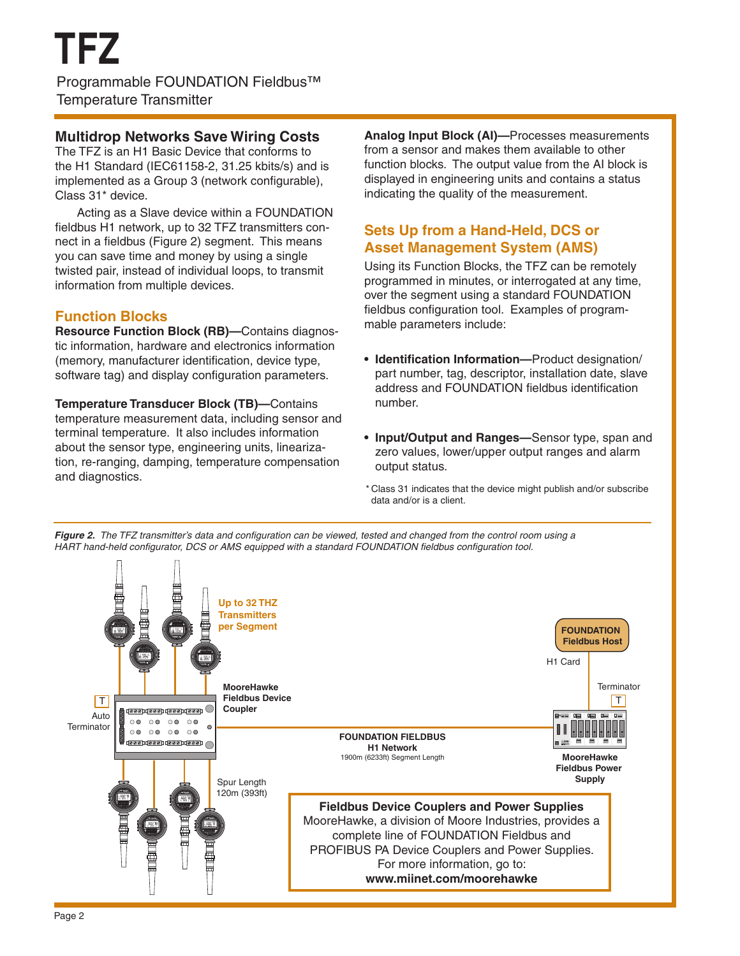### **Multidrop Networks Save Wiring Costs**

The TFZ is an H1 Basic Device that conforms to the H1 Standard (IEC61158-2, 31.25 kbits/s) and is implemented as a Group 3 (network configurable), Class 31\* device.

Acting as a Slave device within a FOUNDATION fieldbus H1 network, up to 32 TFZ transmitters connect in a fieldbus (Figure 2) segment. This means you can save time and money by using a single twisted pair, instead of individual loops, to transmit information from multiple devices.

## **Function Blocks**

**Resource Function Block (RB)—**Contains diagnostic information, hardware and electronics information (memory, manufacturer identification, device type, software tag) and display configuration parameters.

**Temperature Transducer Block (TB)—**Contains temperature measurement data, including sensor and terminal temperature. It also includes information about the sensor type, engineering units, linearization, re-ranging, damping, temperature compensation and diagnostics.

**Analog Input Block (AI)—**Processes measurements from a sensor and makes them available to other function blocks. The output value from the AI block is displayed in engineering units and contains a status indicating the quality of the measurement.

# **Sets Up from a Hand-Held, DCS or Asset Management System (AMS)**

Using its Function Blocks, the TFZ can be remotely programmed in minutes, or interrogated at any time, over the segment using a standard FOUNDATION fieldbus configuration tool. Examples of programmable parameters include:

- **• Identification Information—**Product designation/ part number, tag, descriptor, installation date, slave address and FOUNDATION fieldbus identification number.
- **• Input/Output and Ranges—**Sensor type, span and zero values, lower/upper output ranges and alarm output status.
- \* Class 31 indicates that the device might publish and/or subscribe data and/or is a client.

*Figure 2. The TFZ transmitter's data and configuration can be viewed, tested and changed from the control room using a HART hand-held configurator, DCS or AMS equipped with a standard FOUNDATION fieldbus configuration tool.*

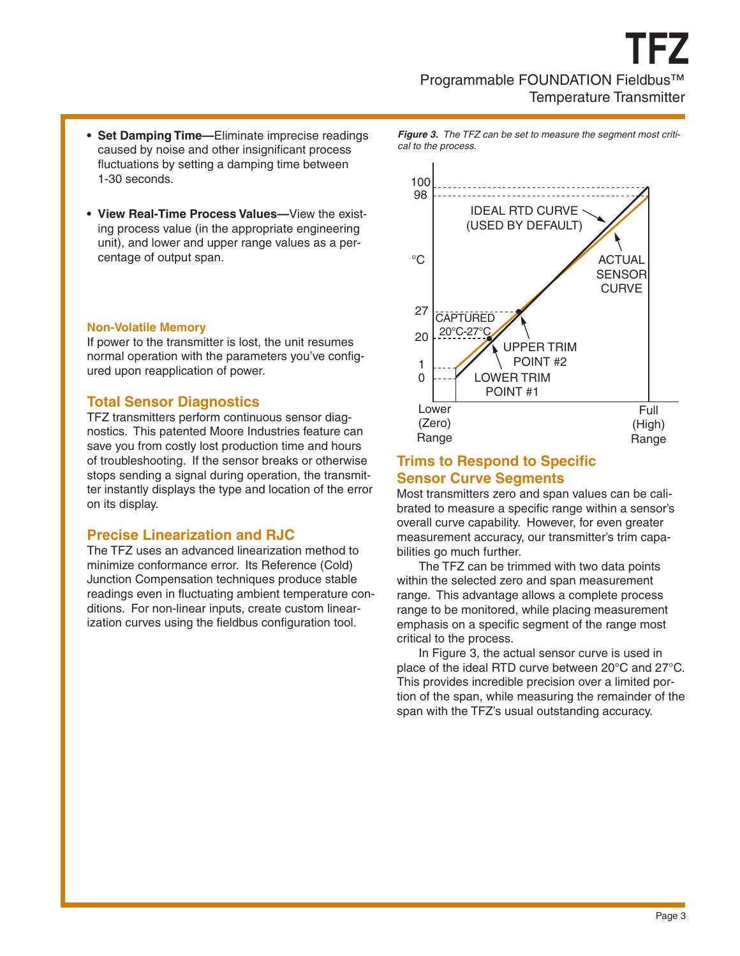- **• Set Damping Time—**Eliminate imprecise readings caused by noise and other insignificant process fluctuations by setting a damping time between 1-30 seconds.
- **• View Real-Time Process Values—**View the existing process value (in the appropriate engineering unit), and lower and upper range values as a percentage of output span.

#### **Non-Volatile Memory**

If power to the transmitter is lost, the unit resumes normal operation with the parameters you've configured upon reapplication of power.

#### **Total Sensor Diagnostics**

TFZ transmitters perform continuous sensor diagnostics. This patented Moore Industries feature can save you from costly lost production time and hours of troubleshooting. If the sensor breaks or otherwise stops sending a signal during operation, the transmitter instantly displays the type and location of the error on its display.

#### **Precise Linearization and RJC**

The TFZ uses an advanced linearization method to minimize conformance error. Its Reference (Cold) Junction Compensation techniques produce stable readings even in fluctuating ambient temperature conditions. For non-linear inputs, create custom linearization curves using the fieldbus configuration tool.

*Figure 3. The TFZ can be set to measure the segment most critical to the process.*



### **Trims to Respond to Specific Sensor Curve Segments**

Most transmitters zero and span values can be calibrated to measure a specific range within a sensor's overall curve capability. However, for even greater measurement accuracy, our transmitter's trim capabilities go much further.

The TFZ can be trimmed with two data points within the selected zero and span measurement range. This advantage allows a complete process range to be monitored, while placing measurement emphasis on a specific segment of the range most critical to the process.

In Figure 3, the actual sensor curve is used in place of the ideal RTD curve between 20°C and 27°C. This provides incredible precision over a limited portion of the span, while measuring the remainder of the span with the TFZ's usual outstanding accuracy.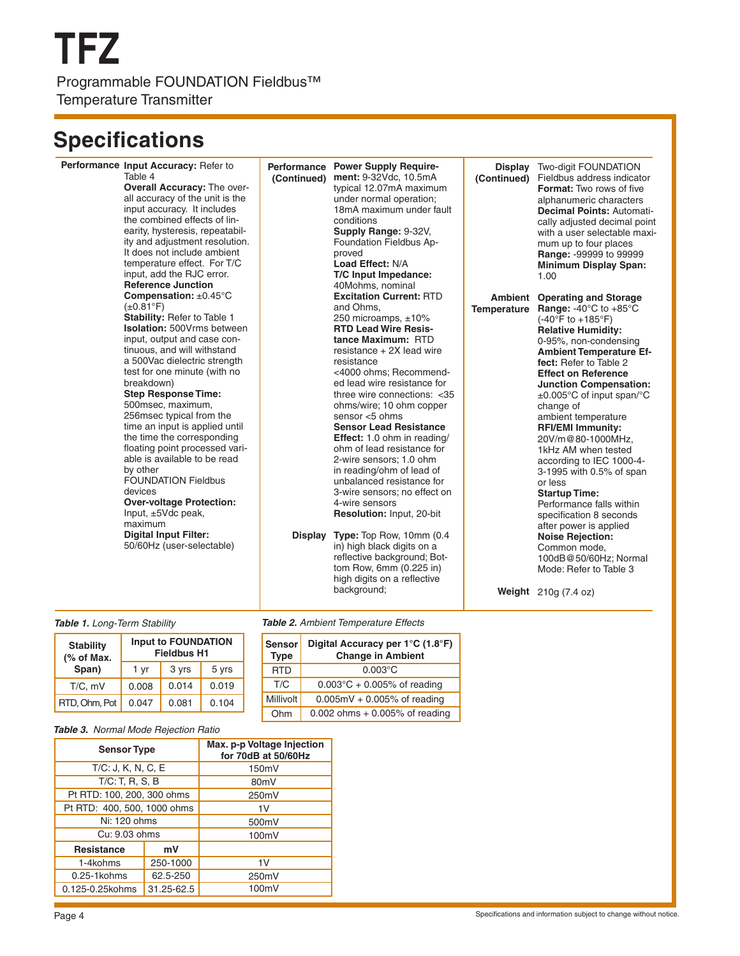# **Specifications**

| Performance Input Accuracy: Refer to<br>Table 4<br><b>Overall Accuracy: The over-</b><br>all accuracy of the unit is the<br>input accuracy. It includes<br>the combined effects of lin-<br>earity, hysteresis, repeatabil-<br>ity and adjustment resolution.<br>It does not include ambient<br>temperature effect. For T/C<br>input, add the RJC error.<br><b>Reference Junction</b>                                                                                                                                                                                                                                                                                                   | (Continued)    | Performance Power Supply Require-<br>ment: 9-32Vdc, 10.5mA<br>typical 12.07mA maximum<br>under normal operation;<br>18mA maximum under fault<br>conditions<br>Supply Range: 9-32V,<br>Foundation Fieldbus Ap-<br>proved<br>Load Effect: N/A<br>T/C Input Impedance:<br>40Mohms, nominal                                                                                                                                                                                                                                                                                                                                                                                                                                                              | (Continued) | <b>Display</b> Two-digit FOUNDATION<br>Fieldbus address indicator<br>Format: Two rows of five<br>alphanumeric characters<br>Decimal Points: Automati-<br>cally adjusted decimal point<br>with a user selectable maxi-<br>mum up to four places<br>Range: -99999 to 99999<br><b>Minimum Display Span:</b><br>1.00                                                                                                                                                                                                                                                                                                                                                                                                    |
|----------------------------------------------------------------------------------------------------------------------------------------------------------------------------------------------------------------------------------------------------------------------------------------------------------------------------------------------------------------------------------------------------------------------------------------------------------------------------------------------------------------------------------------------------------------------------------------------------------------------------------------------------------------------------------------|----------------|------------------------------------------------------------------------------------------------------------------------------------------------------------------------------------------------------------------------------------------------------------------------------------------------------------------------------------------------------------------------------------------------------------------------------------------------------------------------------------------------------------------------------------------------------------------------------------------------------------------------------------------------------------------------------------------------------------------------------------------------------|-------------|---------------------------------------------------------------------------------------------------------------------------------------------------------------------------------------------------------------------------------------------------------------------------------------------------------------------------------------------------------------------------------------------------------------------------------------------------------------------------------------------------------------------------------------------------------------------------------------------------------------------------------------------------------------------------------------------------------------------|
| Compensation: $\pm 0.45^{\circ}$ C<br>$(\pm 0.81^\circ F)$<br>Stability: Refer to Table 1<br><b>Isolation: 500Vrms between</b><br>input, output and case con-<br>tinuous, and will withstand<br>a 500Vac dielectric strength<br>test for one minute (with no<br>breakdown)<br><b>Step Response Time:</b><br>500msec, maximum,<br>256msec typical from the<br>time an input is applied until<br>the time the corresponding<br>floating point processed vari-<br>able is available to be read<br>by other<br><b>FOUNDATION Fieldbus</b><br>devices<br><b>Over-voltage Protection:</b><br>Input, $\pm$ 5Vdc peak,<br>maximum<br><b>Digital Input Filter:</b><br>50/60Hz (user-selectable) | <b>Display</b> | <b>Excitation Current: RTD</b><br>and Ohms.<br>250 microamps, ±10%<br><b>RTD Lead Wire Resis-</b><br>tance Maximum: RTD<br>resistance + 2X lead wire<br>resistance<br><4000 ohms; Recommend-<br>ed lead wire resistance for<br>three wire connections: < 35<br>ohms/wire; 10 ohm copper<br>sensor <5 ohms<br><b>Sensor Lead Resistance</b><br><b>Effect:</b> 1.0 ohm in reading/<br>ohm of lead resistance for<br>2-wire sensors; 1.0 ohm<br>in reading/ohm of lead of<br>unbalanced resistance for<br>3-wire sensors; no effect on<br>4-wire sensors<br><b>Resolution: Input, 20-bit</b><br><b>Type:</b> Top Row, 10mm (0.4)<br>in) high black digits on a<br>reflective background; Bot-<br>tom Row, 6mm (0.225 in)<br>high digits on a reflective | Temperature | Ambient Operating and Storage<br><b>Range: -40°C to +85°C</b><br>$(-40^{\circ}F to +185^{\circ}F)$<br><b>Relative Humidity:</b><br>0-95%, non-condensing<br><b>Ambient Temperature Ef-</b><br>fect: Refer to Table 2<br><b>Effect on Reference</b><br><b>Junction Compensation:</b><br>$\pm 0.005^{\circ}$ C of input span/°C<br>change of<br>ambient temperature<br><b>RFI/EMI Immunity:</b><br>20V/m@80-1000MHz,<br>1kHz AM when tested<br>according to IEC 1000-4-<br>3-1995 with 0.5% of span<br>or less<br><b>Startup Time:</b><br>Performance falls within<br>specification 8 seconds<br>after power is applied<br><b>Noise Rejection:</b><br>Common mode,<br>100dB@50/60Hz; Normal<br>Mode: Refer to Table 3 |
|                                                                                                                                                                                                                                                                                                                                                                                                                                                                                                                                                                                                                                                                                        |                | background;                                                                                                                                                                                                                                                                                                                                                                                                                                                                                                                                                                                                                                                                                                                                          |             | <b>Weight</b> 210g (7.4 oz)                                                                                                                                                                                                                                                                                                                                                                                                                                                                                                                                                                                                                                                                                         |

| <b>Stability</b><br>(% of Max. | <b>Input to FOUNDATION</b><br><b>Fieldbus H1</b> |       |       |  |  |
|--------------------------------|--------------------------------------------------|-------|-------|--|--|
| Span)                          | 1 yr                                             | 3 yrs | 5 yrs |  |  |
| $T/C$ , mV                     | 0.008                                            | 0.014 | 0.019 |  |  |
| RTD, Ohm, Pot                  | 0.047                                            | 0.081 | 0.104 |  |  |

*Table 1. Long-Term Stability Table 2. Ambient Temperature Effects*

| <b>Sensor</b><br><b>Type</b> | Digital Accuracy per 1°C (1.8°F)<br><b>Change in Ambient</b> |  |
|------------------------------|--------------------------------------------------------------|--|
| <b>RTD</b>                   | $0.003$ °C                                                   |  |
| T/C                          | $0.003^{\circ}C + 0.005\%$ of reading                        |  |
| <b>Millivolt</b>             | $0.005mV + 0.005%$ of reading                                |  |
| Ohm                          | 0.002 ohms $+0.005%$ of reading                              |  |

*Table 3. Normal Mode Rejection Ratio*

| <b>Sensor Type</b>            |          | Max. p-p Voltage Injection<br>for 70dB at 50/60Hz |
|-------------------------------|----------|---------------------------------------------------|
| T/C: J, K, N, C, E            |          | 150mV                                             |
| $T/C$ : T, R, S, B            |          | 80 <sub>m</sub> V                                 |
| Pt RTD: 100, 200, 300 ohms    |          | 250mV                                             |
| Pt RTD: 400, 500, 1000 ohms   |          | 1V                                                |
| Ni: 120 ohms                  |          | 500mV                                             |
| Cu: 9.03 ohms                 |          | 100mV                                             |
| <b>Resistance</b>             | mV       |                                                   |
| 1-4kohms                      | 250-1000 | 1V                                                |
| $0.25 - 1$ kohms              | 62.5-250 | 250mV                                             |
| 31.25-62.5<br>0.125-0.25kohms |          | 100mV                                             |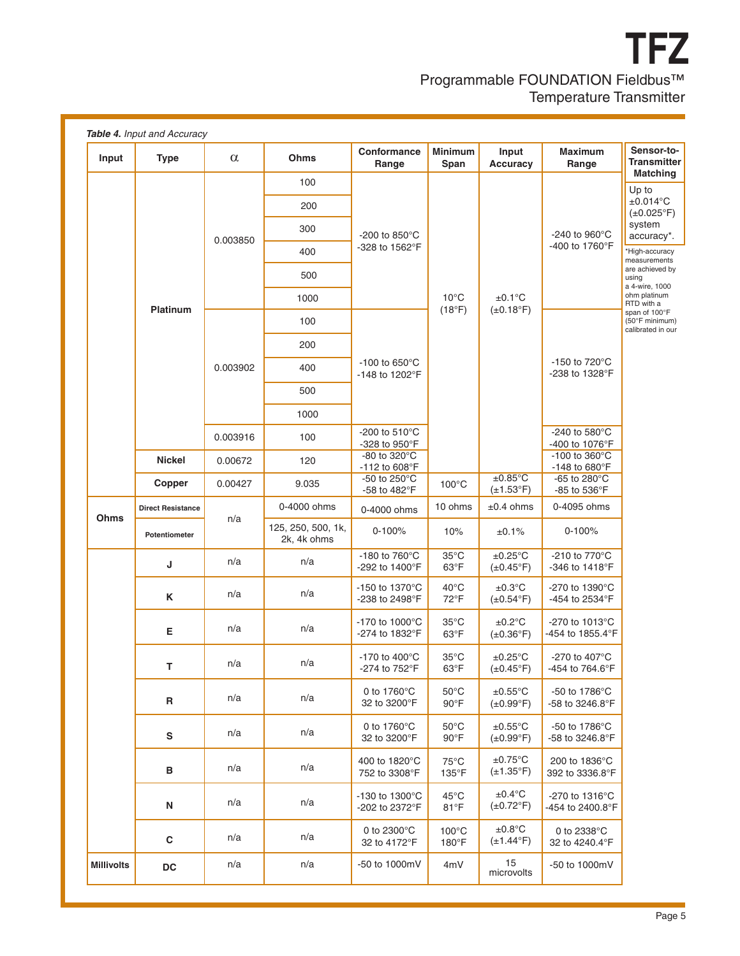**TFZ** Programmable FOUNDATION Fieldbus™ Temperature Transmitter

| Input             | <b>Type</b>              | $\alpha$ | <b>Ohms</b>                       | Conformance<br>Range                          | <b>Minimum</b><br>Span           | Input<br><b>Accuracy</b>                   | <b>Maximum</b><br>Range                              | Sensor-to-<br><b>Transmitter</b><br><b>Matching</b>  |
|-------------------|--------------------------|----------|-----------------------------------|-----------------------------------------------|----------------------------------|--------------------------------------------|------------------------------------------------------|------------------------------------------------------|
|                   |                          | 0.003850 | 100                               |                                               | $10^{\circ}$ C<br>(18°F)         | $±0.1^{\circ}C$<br>$(\pm 0.18$ °F)         | -240 to 960°C<br>-400 to 1760°F                      | Up to                                                |
|                   |                          |          | 200                               |                                               |                                  |                                            |                                                      | $\pm 0.014$ °C<br>$(\pm 0.025$ °F)                   |
|                   |                          |          | 300                               | -200 to 850 $\degree$ C                       |                                  |                                            |                                                      | system<br>accuracy*.                                 |
|                   |                          |          | 400                               | -328 to 1562°F                                |                                  |                                            |                                                      | *High-accuracy<br>measurements                       |
|                   |                          |          | 500                               |                                               |                                  |                                            |                                                      | are achieved by<br>using<br>a 4-wire, 1000           |
|                   | <b>Platinum</b>          |          | 1000                              |                                               |                                  |                                            |                                                      | ohm platinum<br>RTD with a                           |
|                   |                          |          | 100                               |                                               |                                  |                                            |                                                      | span of 100°F<br>(50°F minimum)<br>calibrated in our |
|                   |                          |          | 200                               |                                               |                                  |                                            |                                                      |                                                      |
|                   |                          | 0.003902 | 400                               | $-100$ to 650 $^{\circ}$ C<br>-148 to 1202°F  |                                  |                                            | $-150$ to $720^{\circ}$ C<br>-238 to 1328°F          |                                                      |
|                   |                          |          | 500                               |                                               |                                  |                                            |                                                      |                                                      |
|                   |                          |          | 1000                              |                                               |                                  |                                            |                                                      |                                                      |
|                   |                          | 0.003916 | 100                               | -200 to $510^{\circ}$ C<br>-328 to 950°F      |                                  |                                            | -240 to 580 $^{\circ}$ C<br>-400 to 1076°F           |                                                      |
|                   | <b>Nickel</b>            | 0.00672  | 120                               | -80 to 320°C<br>-112 to 608°F                 |                                  |                                            | -100 to $360^{\circ}$ C<br>$-148$ to 680 $\degree$ F |                                                      |
|                   | Copper                   | 0.00427  | 9.035                             | -50 to 250°C<br>-58 to 482°F                  | $100^{\circ}$ C                  | $±0.85^{\circ}C$<br>$(\pm 1.53^\circ F)$   | -65 to 280°C<br>-85 to 536°F                         |                                                      |
| <b>Ohms</b>       | <b>Direct Resistance</b> |          | 0-4000 ohms                       | 0-4000 ohms                                   | 10 ohms                          | $±0.4$ ohms                                | 0-4095 ohms                                          |                                                      |
|                   | Potentiometer            | n/a      | 125, 250, 500, 1k,<br>2k, 4k ohms | $0 - 100%$                                    | 10%                              | ±0.1%                                      | $0 - 100%$                                           |                                                      |
|                   | J                        | n/a      | n/a                               | -180 to 760°C<br>-292 to 1400°F               | $35^{\circ}$ C<br>$63^{\circ}F$  | $±0.25^{\circ}$ C<br>$(\pm 0.45^{\circ}F)$ | -210 to 770°C<br>-346 to 1418°F                      |                                                      |
|                   | Κ                        | n/a      | n/a                               | $-150$ to 1370 $^{\circ}$ C<br>-238 to 2498°F | $40^{\circ}$ C<br>72°F           | $\pm 0.3^{\circ}$ C<br>$(\pm 0.54$ °F)     | $-270$ to 1390 $^{\circ}$ C<br>-454 to 2534°F        |                                                      |
|                   | Е                        | n/a      | n/a                               | $-170$ to $1000^{\circ}$ C<br>-274 to 1832°F  | $35^{\circ}$ C<br>$63^{\circ}F$  | $±0.2$ °C<br>$(\pm 0.36^\circ)$ F)         | -270 to $1013^{\circ}$ C<br>-454 to 1855.4°F         |                                                      |
|                   | т                        | n/a      | n/a                               | $-170$ to $400^{\circ}$ C<br>-274 to 752°F    | $35^{\circ}$ C<br>$63^{\circ}F$  | $\pm 0.25$ °C<br>$(\pm 0.45^{\circ}F)$     | -270 to 407 $^{\circ}$ C<br>-454 to 764.6°F          |                                                      |
|                   | R                        | n/a      | n/a                               | 0 to $1760^{\circ}$ C<br>32 to 3200°F         | $50^{\circ}$ C<br>$90^{\circ}$ F | $±0.55^{\circ}$ C<br>$(\pm 0.99^{\circ}F)$ | $-50$ to 1786 $^{\circ}$ C<br>-58 to 3246.8°F        |                                                      |
|                   | ${\mathsf s}$            | n/a      | n/a                               | 0 to $1760^{\circ}$ C<br>32 to 3200°F         | $50^{\circ}$ C<br>$90^{\circ}$ F | $\pm 0.55$ °C<br>$(\pm 0.99^{\circ}F)$     | -50 to 1786 $\degree$ C<br>-58 to 3246.8°F           |                                                      |
|                   | в                        | n/a      | n/a                               | 400 to 1820°C<br>752 to 3308°F                | $75^{\circ}$ C<br>135°F          | $±0.75^{\circ}$ C<br>$(\pm 1.35^\circ F)$  | 200 to 1836°C<br>392 to 3336.8°F                     |                                                      |
|                   | N                        | n/a      | n/a                               | -130 to 1300°C<br>-202 to 2372°F              | $45^{\circ}$ C<br>$81^{\circ}F$  | $±0.4$ °C<br>$(\pm 0.72$ °F)               | $-270$ to 1316 $^{\circ}$ C<br>-454 to 2400.8°F      |                                                      |
|                   | $\mathbf c$              | n/a      | n/a                               | 0 to $2300^{\circ}$ C<br>32 to 4172°F         | $100^{\circ}$ C<br>180°F         | $±0.8^{\circ}C$<br>$(\pm 1.44^{\circ}F)$   | 0 to 2338°C<br>32 to 4240.4°F                        |                                                      |
| <b>Millivolts</b> | $\mathsf{D}\mathsf{C}$   | n/a      | n/a                               | -50 to 1000mV                                 | 4mV                              | 15<br>microvolts                           | -50 to 1000mV                                        |                                                      |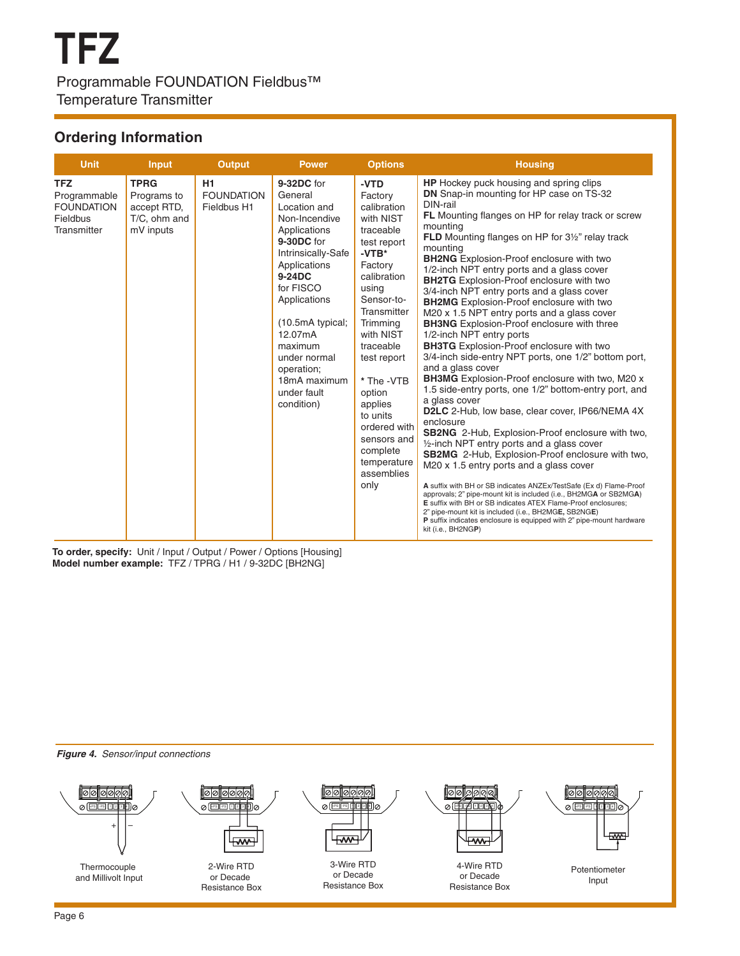# **Ordering Information**

| <b>Unit</b>                                                                | Input                                                                  | <b>Output</b>                          | <b>Power</b>                                                                                                                                                                                                                                                                           | <b>Options</b>                                                                                                                                                                                                                                                                                                                         | <b>Housing</b>                                                                                                                                                                                                                                                                                                                                                                                                                                                                                                                                                                                                                                                                                                                                                                                                                                                                                                                                                                                                                                                                                                                                                                                                                                                                                                                                                                                                                                                                                                                                                                                  |
|----------------------------------------------------------------------------|------------------------------------------------------------------------|----------------------------------------|----------------------------------------------------------------------------------------------------------------------------------------------------------------------------------------------------------------------------------------------------------------------------------------|----------------------------------------------------------------------------------------------------------------------------------------------------------------------------------------------------------------------------------------------------------------------------------------------------------------------------------------|-------------------------------------------------------------------------------------------------------------------------------------------------------------------------------------------------------------------------------------------------------------------------------------------------------------------------------------------------------------------------------------------------------------------------------------------------------------------------------------------------------------------------------------------------------------------------------------------------------------------------------------------------------------------------------------------------------------------------------------------------------------------------------------------------------------------------------------------------------------------------------------------------------------------------------------------------------------------------------------------------------------------------------------------------------------------------------------------------------------------------------------------------------------------------------------------------------------------------------------------------------------------------------------------------------------------------------------------------------------------------------------------------------------------------------------------------------------------------------------------------------------------------------------------------------------------------------------------------|
| <b>TFZ</b><br>Programmable<br><b>FOUNDATION</b><br>Fieldbus<br>Transmitter | <b>TPRG</b><br>Programs to<br>accept RTD,<br>T/C, ohm and<br>mV inputs | H1<br><b>FOUNDATION</b><br>Fieldbus H1 | 9-32DC for<br>General<br>Location and<br>Non-Incendive<br>Applications<br>9-30DC for<br>Intrinsically-Safe<br>Applications<br>9-24DC<br>for FISCO<br>Applications<br>(10.5mA typical;<br>12.07mA<br>maximum<br>under normal<br>operation;<br>18mA maximum<br>under fault<br>condition) | -VTD<br>Factory<br>calibration<br>with NIST<br>traceable<br>test report<br>$-VTB*$<br>Factory<br>calibration<br>using<br>Sensor-to-<br>Transmitter<br>Trimming<br>with NIST<br>traceable<br>test report<br>* The -VTB<br>option<br>applies<br>to units<br>ordered with<br>sensors and<br>complete<br>temperature<br>assemblies<br>only | <b>HP</b> Hockey puck housing and spring clips<br><b>DN</b> Snap-in mounting for HP case on TS-32<br>DIN-rail<br><b>FL</b> Mounting flanges on HP for relay track or screw<br>mounting<br><b>FLD</b> Mounting flanges on HP for 3 <sup>1/2</sup> " relay track<br>mounting<br><b>BH2NG</b> Explosion-Proof enclosure with two<br>1/2-inch NPT entry ports and a glass cover<br><b>BH2TG</b> Explosion-Proof enclosure with two<br>3/4-inch NPT entry ports and a glass cover<br><b>BH2MG</b> Explosion-Proof enclosure with two<br>M20 x 1.5 NPT entry ports and a glass cover<br><b>BH3NG</b> Explosion-Proof enclosure with three<br>1/2-inch NPT entry ports<br><b>BH3TG</b> Explosion-Proof enclosure with two<br>3/4-inch side-entry NPT ports, one 1/2" bottom port,<br>and a glass cover<br><b>BH3MG</b> Explosion-Proof enclosure with two, M20 x<br>1.5 side-entry ports, one 1/2" bottom-entry port, and<br>a glass cover<br><b>D2LC</b> 2-Hub, low base, clear cover, IP66/NEMA 4X<br>enclosure<br><b>SB2NG</b> 2-Hub, Explosion-Proof enclosure with two,<br>$\frac{1}{2}$ -inch NPT entry ports and a glass cover<br>SB2MG 2-Hub, Explosion-Proof enclosure with two,<br>M20 x 1.5 entry ports and a glass cover<br>A suffix with BH or SB indicates ANZEx/TestSafe (Ex d) Flame-Proof<br>approvals; 2" pipe-mount kit is included (i.e., BH2MGA or SB2MGA)<br>E suffix with BH or SB indicates ATEX Flame-Proof enclosures;<br>2" pipe-mount kit is included (i.e., BH2MGE, SB2NGE)<br>P suffix indicates enclosure is equipped with 2" pipe-mount hardware<br>kit (i.e., BH2NGP) |

**To order, specify:** Unit / Input / Output / Power / Options [Housing] **Model number example:** TFZ / TPRG / H1 / 9-32DC [BH2NG]



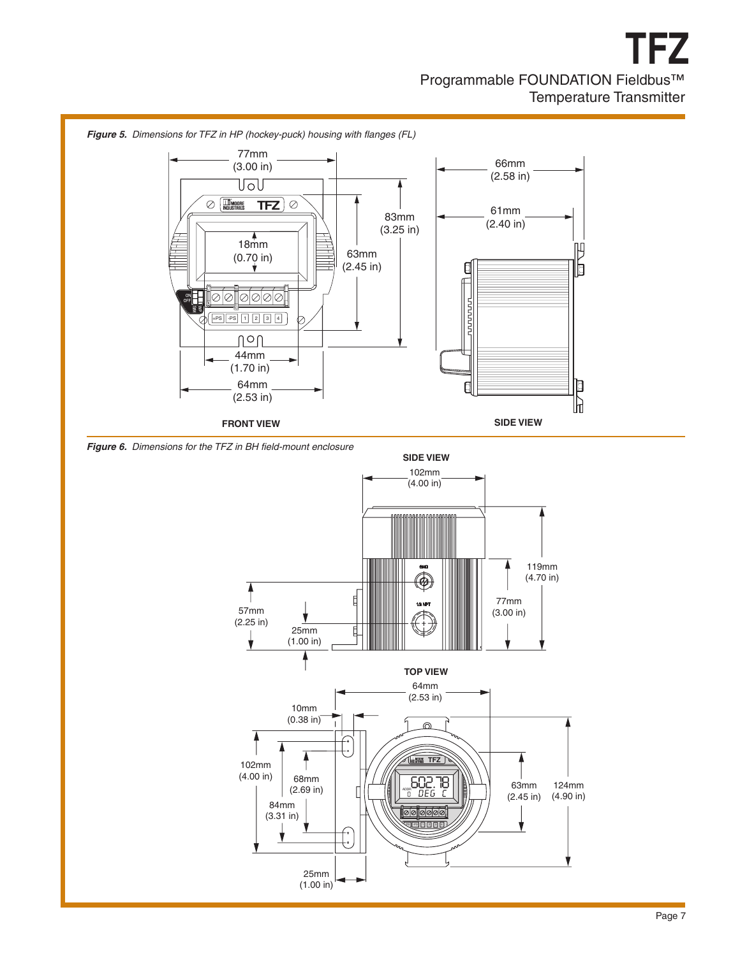